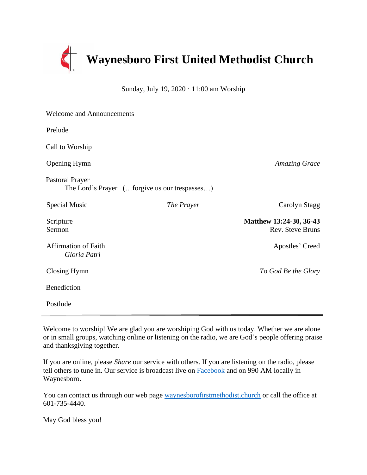

Sunday, July 19, 2020 · 11:00 am Worship

| <b>Welcome and Announcements</b>                                        |            |                                             |
|-------------------------------------------------------------------------|------------|---------------------------------------------|
| Prelude                                                                 |            |                                             |
| Call to Worship                                                         |            |                                             |
| <b>Opening Hymn</b>                                                     |            | <b>Amazing Grace</b>                        |
| <b>Pastoral Prayer</b><br>The Lord's Prayer (forgive us our trespasses) |            |                                             |
| Special Music                                                           | The Prayer | Carolyn Stagg                               |
| Scripture<br>Sermon                                                     |            | Matthew 13:24-30, 36-43<br>Rev. Steve Bruns |
| <b>Affirmation of Faith</b><br>Gloria Patri                             |            | Apostles' Creed                             |
| Closing Hymn                                                            |            | To God Be the Glory                         |
| Benediction                                                             |            |                                             |
| Postlude                                                                |            |                                             |

Welcome to worship! We are glad you are worshiping God with us today. Whether we are alone or in small groups, watching online or listening on the radio, we are God's people offering praise and thanksgiving together.

If you are online, please *Share* our service with others. If you are listening on the radio, please tell others to tune in. Our service is broadcast live on [Facebook](https://www.facebook.com/Waynesboro-First-United-Methodist-Church-175960185867306/?ref=aymt_homepage_panel&eid=ARCiQq_aJav80cdk6BUVVBeTeDB4_yY2ULELUZCwM-VBEc9Sy_7gLZgcuYbMI6x6sKzp4LHk9mYe5bCs) and on 990 AM locally in Waynesboro.

You can contact us through our web page [waynesborofirstmethodist.church](http://www.waynesborofirstmethodist.church/) or call the office at 601-735-4440.

May God bless you!